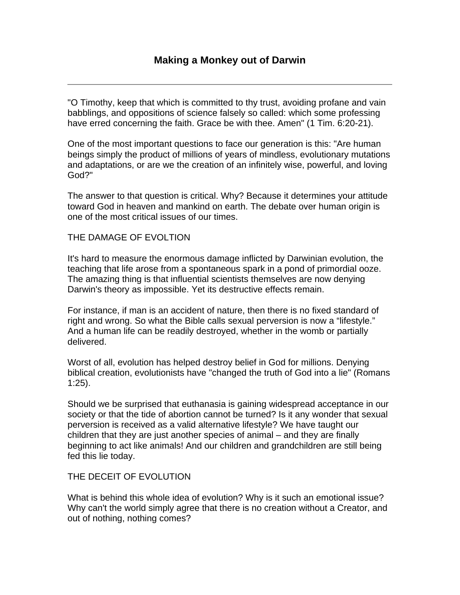"O Timothy, keep that which is committed to thy trust, avoiding profane and vain babblings, and oppositions of science falsely so called: which some professing have erred concerning the faith. Grace be with thee. Amen" (1 Tim. 6:20-21).

One of the most important questions to face our generation is this: "Are human beings simply the product of millions of years of mindless, evolutionary mutations and adaptations, or are we the creation of an infinitely wise, powerful, and loving God?"

The answer to that question is critical. Why? Because it determines your attitude toward God in heaven and mankind on earth. The debate over human origin is one of the most critical issues of our times.

## THE DAMAGE OF EVOLTION

It's hard to measure the enormous damage inflicted by Darwinian evolution, the teaching that life arose from a spontaneous spark in a pond of primordial ooze. The amazing thing is that influential scientists themselves are now denying Darwin's theory as impossible. Yet its destructive effects remain.

For instance, if man is an accident of nature, then there is no fixed standard of right and wrong. So what the Bible calls sexual perversion is now a "lifestyle." And a human life can be readily destroyed, whether in the womb or partially delivered.

Worst of all, evolution has helped destroy belief in God for millions. Denying biblical creation, evolutionists have "changed the truth of God into a lie" (Romans 1:25).

Should we be surprised that euthanasia is gaining widespread acceptance in our society or that the tide of abortion cannot be turned? Is it any wonder that sexual perversion is received as a valid alternative lifestyle? We have taught our children that they are just another species of animal – and they are finally beginning to act like animals! And our children and grandchildren are still being fed this lie today.

## THE DECEIT OF EVOLUTION

What is behind this whole idea of evolution? Why is it such an emotional issue? Why can't the world simply agree that there is no creation without a Creator, and out of nothing, nothing comes?